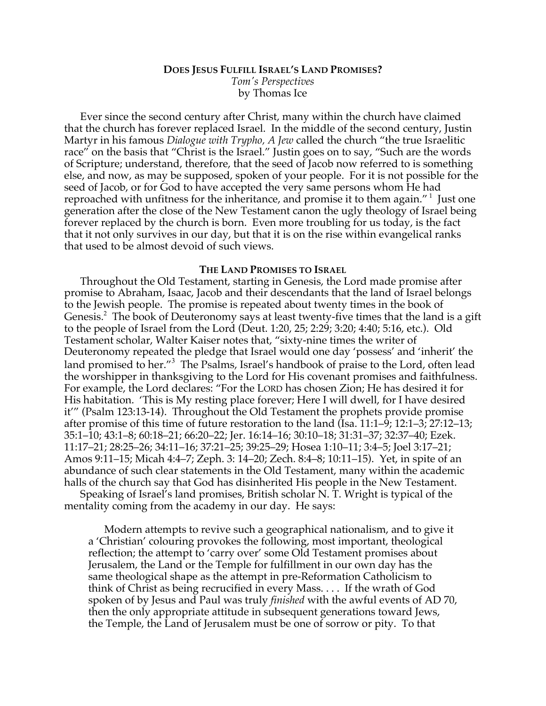## **DOES JESUS FULFILL ISRAEL'S LAND PROMISES?** *Tom's Perspectives* by Thomas Ice

Ever since the second century after Christ, many within the church have claimed that the church has forever replaced Israel. In the middle of the second century, Justin Martyr in his famous *Dialogue with Trypho, A Jew* called the church "the true Israelitic race" on the basis that "Christ is the Israel." Justin goes on to say, "Such are the words of Scripture; understand, therefore, that the seed of Jacob now referred to is something else, and now, as may be supposed, spoken of your people. For it is not possible for the seed of Jacob, or for God to have accepted the very same persons whom He had reproached with unfitness for the inheritance, and promise it to them again." <sup>1</sup> Just one generation after the close of the New Testament canon the ugly theology of Israel being forever replaced by the church is born. Even more troubling for us today, is the fact that it not only survives in our day, but that it is on the rise within evangelical ranks that used to be almost devoid of such views.

## **THE LAND PROMISES TO ISRAEL**

Throughout the Old Testament, starting in Genesis, the Lord made promise after promise to Abraham, Isaac, Jacob and their descendants that the land of Israel belongs to the Jewish people. The promise is repeated about twenty times in the book of Genesis.<sup>2</sup> The book of Deuteronomy says at least twenty-five times that the land is a gift to the people of Israel from the Lord (Deut. 1:20, 25; 2:29; 3:20; 4:40; 5:16, etc.). Old Testament scholar, Walter Kaiser notes that, "sixty-nine times the writer of Deuteronomy repeated the pledge that Israel would one day 'possess' and 'inherit' the land promised to her."<sup>3</sup> The Psalms, Israel's handbook of praise to the Lord, often lead the worshipper in thanksgiving to the Lord for His covenant promises and faithfulness. For example, the Lord declares: "For the LORD has chosen Zion; He has desired it for His habitation. 'This is My resting place forever; Here I will dwell, for I have desired it'" (Psalm 123:13-14). Throughout the Old Testament the prophets provide promise after promise of this time of future restoration to the land (Isa. 11:1–9; 12:1–3; 27:12–13; 35:1–10; 43:1–8; 60:18–21; 66:20–22; Jer. 16:14–16; 30:10–18; 31:31–37; 32:37–40; Ezek. 11:17–21; 28:25–26; 34:11–16; 37:21–25; 39:25–29; Hosea 1:10–11; 3:4–5; Joel 3:17–21; Amos 9:11–15; Micah 4:4–7; Zeph. 3: 14–20; Zech. 8:4–8; 10:11–15). Yet, in spite of an abundance of such clear statements in the Old Testament, many within the academic halls of the church say that God has disinherited His people in the New Testament.

Speaking of Israel's land promises, British scholar N. T. Wright is typical of the mentality coming from the academy in our day. He says:

Modern attempts to revive such a geographical nationalism, and to give it a 'Christian' colouring provokes the following, most important, theological reflection; the attempt to 'carry over' some Old Testament promises about Jerusalem, the Land or the Temple for fulfillment in our own day has the same theological shape as the attempt in pre-Reformation Catholicism to think of Christ as being recrucified in every Mass. . . . If the wrath of God spoken of by Jesus and Paul was truly *finished* with the awful events of AD 70, then the only appropriate attitude in subsequent generations toward Jews, the Temple, the Land of Jerusalem must be one of sorrow or pity. To that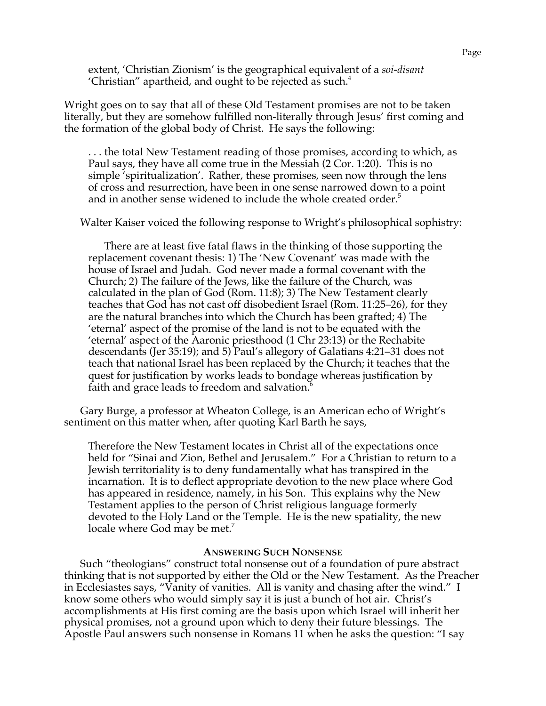extent, 'Christian Zionism' is the geographical equivalent of a *soi-disant* 'Christian'' apartheid, and ought to be rejected as such. $4$ 

Wright goes on to say that all of these Old Testament promises are not to be taken literally, but they are somehow fulfilled non-literally through Jesus' first coming and the formation of the global body of Christ. He says the following:

. . . the total New Testament reading of those promises, according to which, as Paul says, they have all come true in the Messiah (2 Cor. 1:20). This is no simple 'spiritualization'. Rather, these promises, seen now through the lens of cross and resurrection, have been in one sense narrowed down to a point and in another sense widened to include the whole created order.<sup>5</sup>

Walter Kaiser voiced the following response to Wright's philosophical sophistry:

There are at least five fatal flaws in the thinking of those supporting the replacement covenant thesis: 1) The 'New Covenant' was made with the house of Israel and Judah. God never made a formal covenant with the Church; 2) The failure of the Jews, like the failure of the Church, was calculated in the plan of God (Rom. 11:8); 3) The New Testament clearly teaches that God has not cast off disobedient Israel (Rom. 11:25–26), for they are the natural branches into which the Church has been grafted; 4) The 'eternal' aspect of the promise of the land is not to be equated with the 'eternal' aspect of the Aaronic priesthood (1 Chr 23:13) or the Rechabite descendants (Jer 35:19); and 5) Paul's allegory of Galatians 4:21–31 does not teach that national Israel has been replaced by the Church; it teaches that the quest for justification by works leads to bondage whereas justification by faith and grace leads to freedom and salvation.<sup>6</sup>

Gary Burge, a professor at Wheaton College, is an American echo of Wright's sentiment on this matter when, after quoting Karl Barth he says,

Therefore the New Testament locates in Christ all of the expectations once held for "Sinai and Zion, Bethel and Jerusalem." For a Christian to return to a Jewish territoriality is to deny fundamentally what has transpired in the incarnation. It is to deflect appropriate devotion to the new place where God has appeared in residence, namely, in his Son. This explains why the New Testament applies to the person of Christ religious language formerly devoted to the Holy Land or the Temple. He is the new spatiality, the new locale where God may be met.<sup>7</sup>

## **ANSWERING SUCH NONSENSE**

Such "theologians" construct total nonsense out of a foundation of pure abstract thinking that is not supported by either the Old or the New Testament. As the Preacher in Ecclesiastes says, "Vanity of vanities. All is vanity and chasing after the wind." I know some others who would simply say it is just a bunch of hot air. Christ's accomplishments at His first coming are the basis upon which Israel will inherit her physical promises, not a ground upon which to deny their future blessings. The Apostle Paul answers such nonsense in Romans 11 when he asks the question: "I say